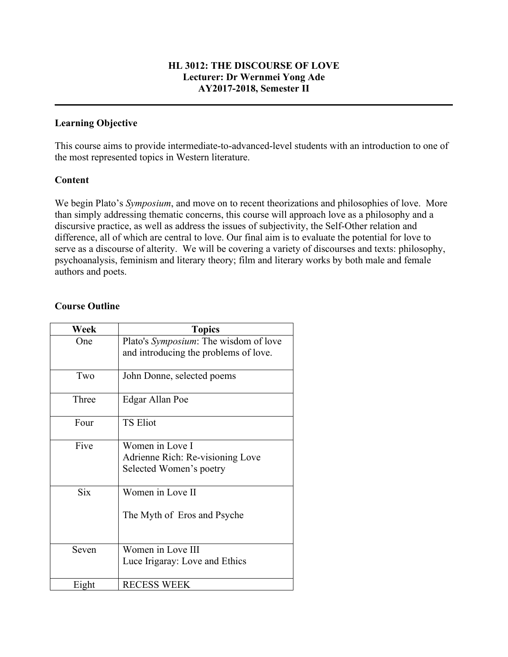### **HL 3012: THE DISCOURSE OF LOVE Lecturer: Dr Wernmei Yong Ade AY2017-2018, Semester II**

**\_\_\_\_\_\_\_\_\_\_\_\_\_\_\_\_\_\_\_\_\_\_\_\_\_\_\_\_\_\_\_\_\_\_\_\_\_\_\_\_\_\_\_\_\_\_\_\_\_\_\_\_\_\_\_\_\_\_\_\_\_\_\_\_\_\_\_\_\_\_\_\_\_\_\_\_\_\_\_\_**

## **Learning Objective**

This course aims to provide intermediate-to-advanced-level students with an introduction to one of the most represented topics in Western literature.

### **Content**

We begin Plato's *Symposium*, and move on to recent theorizations and philosophies of love. More than simply addressing thematic concerns, this course will approach love as a philosophy and a discursive practice, as well as address the issues of subjectivity, the Self-Other relation and difference, all of which are central to love. Our final aim is to evaluate the potential for love to serve as a discourse of alterity. We will be covering a variety of discourses and texts: philosophy, psychoanalysis, feminism and literary theory; film and literary works by both male and female authors and poets.

### **Course Outline**

| Week       | <b>Topics</b>                         |
|------------|---------------------------------------|
| One        | Plato's Symposium: The wisdom of love |
|            | and introducing the problems of love. |
|            |                                       |
| Two        | John Donne, selected poems            |
|            |                                       |
| Three      | Edgar Allan Poe                       |
|            |                                       |
| Four       | <b>TS Eliot</b>                       |
| Five       | Women in Love I                       |
|            | Adrienne Rich: Re-visioning Love      |
|            | Selected Women's poetry               |
|            |                                       |
| <b>Six</b> | Women in Love II                      |
|            |                                       |
|            | The Myth of Eros and Psyche           |
|            |                                       |
|            |                                       |
| Seven      | Women in Love III                     |
|            | Luce Irigaray: Love and Ethics        |
|            |                                       |
| Eight      | <b>RECESS WEEK</b>                    |